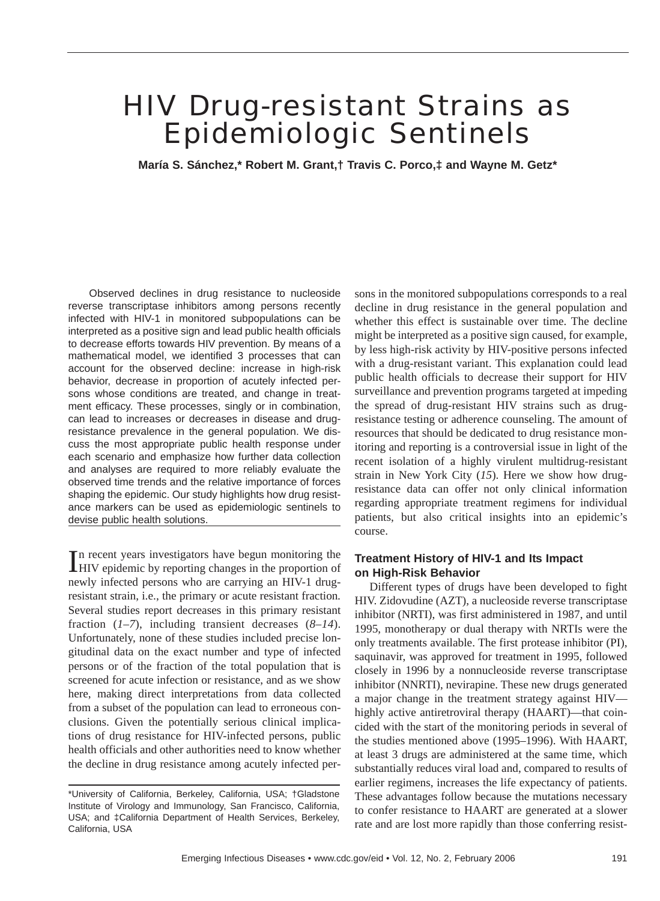# HIV Drug-resistant Strains as Epidemiologic Sentinels

**María S. Sánchez,\* Robert M. Grant,† Travis C. Porco,‡ and Wayne M. Getz\***

Observed declines in drug resistance to nucleoside reverse transcriptase inhibitors among persons recently infected with HIV-1 in monitored subpopulations can be interpreted as a positive sign and lead public health officials to decrease efforts towards HIV prevention. By means of a mathematical model, we identified 3 processes that can account for the observed decline: increase in high-risk behavior, decrease in proportion of acutely infected persons whose conditions are treated, and change in treatment efficacy. These processes, singly or in combination, can lead to increases or decreases in disease and drugresistance prevalence in the general population. We discuss the most appropriate public health response under each scenario and emphasize how further data collection and analyses are required to more reliably evaluate the observed time trends and the relative importance of forces shaping the epidemic. Our study highlights how drug resistance markers can be used as epidemiologic sentinels to devise public health solutions.

In recent years investigators have begun monitoring the HIV epidemic by reporting changes in the proportion of n recent years investigators have begun monitoring the newly infected persons who are carrying an HIV-1 drugresistant strain, i.e., the primary or acute resistant fraction*.* Several studies report decreases in this primary resistant fraction (*1–7*), including transient decreases (*8–14*). Unfortunately, none of these studies included precise longitudinal data on the exact number and type of infected persons or of the fraction of the total population that is screened for acute infection or resistance, and as we show here, making direct interpretations from data collected from a subset of the population can lead to erroneous conclusions. Given the potentially serious clinical implications of drug resistance for HIV-infected persons, public health officials and other authorities need to know whether the decline in drug resistance among acutely infected persons in the monitored subpopulations corresponds to a real decline in drug resistance in the general population and whether this effect is sustainable over time. The decline might be interpreted as a positive sign caused, for example, by less high-risk activity by HIV-positive persons infected with a drug-resistant variant. This explanation could lead public health officials to decrease their support for HIV surveillance and prevention programs targeted at impeding the spread of drug-resistant HIV strains such as drugresistance testing or adherence counseling. The amount of resources that should be dedicated to drug resistance monitoring and reporting is a controversial issue in light of the recent isolation of a highly virulent multidrug-resistant strain in New York City (*15*). Here we show how drugresistance data can offer not only clinical information regarding appropriate treatment regimens for individual patients, but also critical insights into an epidemic's course.

## **Treatment History of HIV-1 and Its Impact on High-Risk Behavior**

Different types of drugs have been developed to fight HIV. Zidovudine (AZT), a nucleoside reverse transcriptase inhibitor (NRTI), was first administered in 1987, and until 1995, monotherapy or dual therapy with NRTIs were the only treatments available. The first protease inhibitor (PI), saquinavir, was approved for treatment in 1995, followed closely in 1996 by a nonnucleoside reverse transcriptase inhibitor (NNRTI), nevirapine. These new drugs generated a major change in the treatment strategy against HIV highly active antiretroviral therapy (HAART)—that coincided with the start of the monitoring periods in several of the studies mentioned above (1995–1996). With HAART, at least 3 drugs are administered at the same time, which substantially reduces viral load and, compared to results of earlier regimens, increases the life expectancy of patients. These advantages follow because the mutations necessary to confer resistance to HAART are generated at a slower rate and are lost more rapidly than those conferring resist-

<sup>\*</sup>University of California, Berkeley, California, USA; †Gladstone Institute of Virology and Immunology, San Francisco, California, USA; and ‡California Department of Health Services, Berkeley, California, USA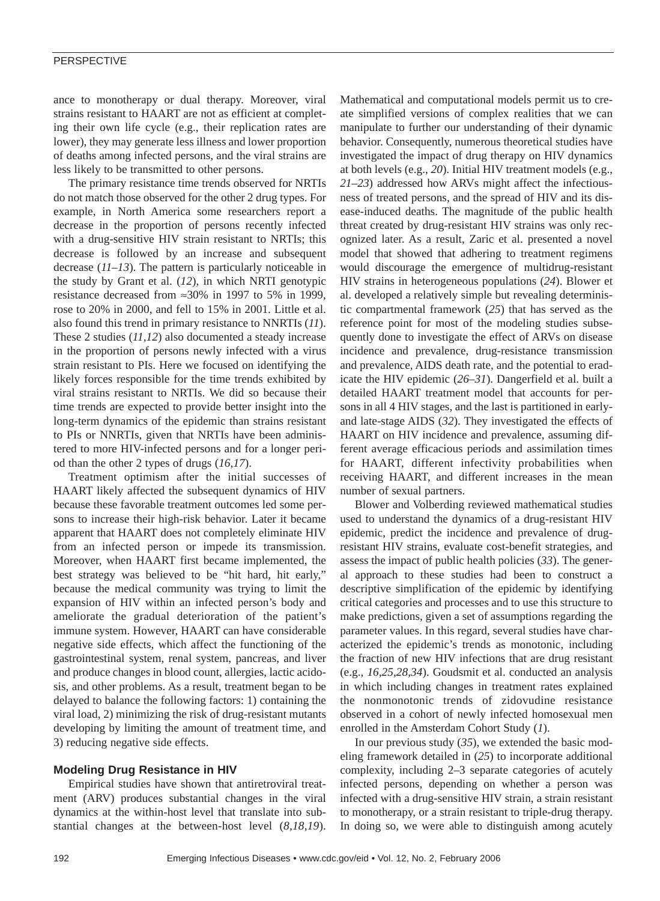## PERSPECTIVE

ance to monotherapy or dual therapy. Moreover, viral strains resistant to HAART are not as efficient at completing their own life cycle (e.g., their replication rates are lower), they may generate less illness and lower proportion of deaths among infected persons, and the viral strains are less likely to be transmitted to other persons.

The primary resistance time trends observed for NRTIs do not match those observed for the other 2 drug types. For example, in North America some researchers report a decrease in the proportion of persons recently infected with a drug-sensitive HIV strain resistant to NRTIs; this decrease is followed by an increase and subsequent decrease (*11–13*). The pattern is particularly noticeable in the study by Grant et al. (*12*), in which NRTI genotypic resistance decreased from ≈30% in 1997 to 5% in 1999, rose to 20% in 2000, and fell to 15% in 2001. Little et al. also found this trend in primary resistance to NNRTIs (*11*). These 2 studies (*11,12*) also documented a steady increase in the proportion of persons newly infected with a virus strain resistant to PIs. Here we focused on identifying the likely forces responsible for the time trends exhibited by viral strains resistant to NRTIs. We did so because their time trends are expected to provide better insight into the long-term dynamics of the epidemic than strains resistant to PIs or NNRTIs, given that NRTIs have been administered to more HIV-infected persons and for a longer period than the other 2 types of drugs (*16,17*).

Treatment optimism after the initial successes of HAART likely affected the subsequent dynamics of HIV because these favorable treatment outcomes led some persons to increase their high-risk behavior. Later it became apparent that HAART does not completely eliminate HIV from an infected person or impede its transmission. Moreover, when HAART first became implemented, the best strategy was believed to be "hit hard, hit early," because the medical community was trying to limit the expansion of HIV within an infected person's body and ameliorate the gradual deterioration of the patient's immune system. However, HAART can have considerable negative side effects, which affect the functioning of the gastrointestinal system, renal system, pancreas, and liver and produce changes in blood count, allergies, lactic acidosis, and other problems. As a result, treatment began to be delayed to balance the following factors: 1) containing the viral load, 2) minimizing the risk of drug-resistant mutants developing by limiting the amount of treatment time, and 3) reducing negative side effects.

## **Modeling Drug Resistance in HIV**

Empirical studies have shown that antiretroviral treatment (ARV) produces substantial changes in the viral dynamics at the within-host level that translate into substantial changes at the between-host level (*8,18,19*). Mathematical and computational models permit us to create simplified versions of complex realities that we can manipulate to further our understanding of their dynamic behavior. Consequently, numerous theoretical studies have investigated the impact of drug therapy on HIV dynamics at both levels (e.g., *20*). Initial HIV treatment models (e.g., *21–23*) addressed how ARVs might affect the infectiousness of treated persons, and the spread of HIV and its disease-induced deaths. The magnitude of the public health threat created by drug-resistant HIV strains was only recognized later. As a result, Zaric et al. presented a novel model that showed that adhering to treatment regimens would discourage the emergence of multidrug-resistant HIV strains in heterogeneous populations (*24*). Blower et al. developed a relatively simple but revealing deterministic compartmental framework (*25*) that has served as the reference point for most of the modeling studies subsequently done to investigate the effect of ARVs on disease incidence and prevalence, drug-resistance transmission and prevalence, AIDS death rate, and the potential to eradicate the HIV epidemic (*26–31*). Dangerfield et al. built a detailed HAART treatment model that accounts for persons in all 4 HIV stages, and the last is partitioned in earlyand late-stage AIDS (*32*). They investigated the effects of HAART on HIV incidence and prevalence, assuming different average efficacious periods and assimilation times for HAART, different infectivity probabilities when receiving HAART, and different increases in the mean number of sexual partners.

Blower and Volberding reviewed mathematical studies used to understand the dynamics of a drug-resistant HIV epidemic, predict the incidence and prevalence of drugresistant HIV strains, evaluate cost-benefit strategies, and assess the impact of public health policies (*33*). The general approach to these studies had been to construct a descriptive simplification of the epidemic by identifying critical categories and processes and to use this structure to make predictions, given a set of assumptions regarding the parameter values. In this regard, several studies have characterized the epidemic's trends as monotonic, including the fraction of new HIV infections that are drug resistant (e.g., *16,25,28,34*). Goudsmit et al. conducted an analysis in which including changes in treatment rates explained the nonmonotonic trends of zidovudine resistance observed in a cohort of newly infected homosexual men enrolled in the Amsterdam Cohort Study (*1*).

In our previous study (*35*), we extended the basic modeling framework detailed in (*25*) to incorporate additional complexity, including 2–3 separate categories of acutely infected persons, depending on whether a person was infected with a drug-sensitive HIV strain, a strain resistant to monotherapy, or a strain resistant to triple-drug therapy. In doing so, we were able to distinguish among acutely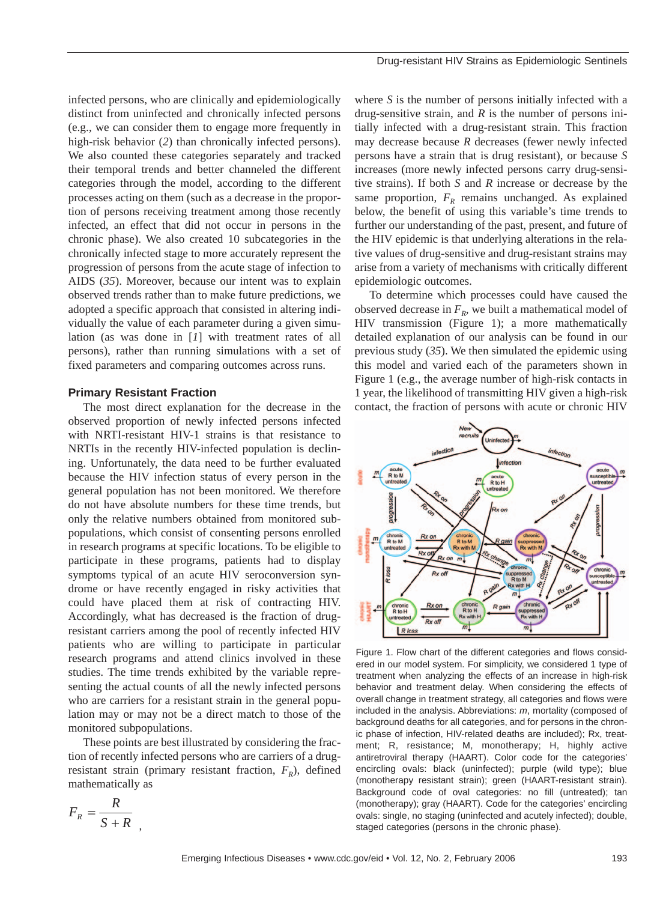infected persons, who are clinically and epidemiologically distinct from uninfected and chronically infected persons (e.g., we can consider them to engage more frequently in high-risk behavior (*2*) than chronically infected persons). We also counted these categories separately and tracked their temporal trends and better channeled the different categories through the model, according to the different processes acting on them (such as a decrease in the proportion of persons receiving treatment among those recently infected, an effect that did not occur in persons in the chronic phase). We also created 10 subcategories in the chronically infected stage to more accurately represent the progression of persons from the acute stage of infection to AIDS (*35*). Moreover, because our intent was to explain observed trends rather than to make future predictions, we adopted a specific approach that consisted in altering individually the value of each parameter during a given simulation (as was done in [*1*] with treatment rates of all persons), rather than running simulations with a set of fixed parameters and comparing outcomes across runs.

## **Primary Resistant Fraction**

The most direct explanation for the decrease in the observed proportion of newly infected persons infected with NRTI-resistant HIV-1 strains is that resistance to NRTIs in the recently HIV-infected population is declining. Unfortunately, the data need to be further evaluated because the HIV infection status of every person in the general population has not been monitored. We therefore do not have absolute numbers for these time trends, but only the relative numbers obtained from monitored subpopulations, which consist of consenting persons enrolled in research programs at specific locations. To be eligible to participate in these programs, patients had to display symptoms typical of an acute HIV seroconversion syndrome or have recently engaged in risky activities that could have placed them at risk of contracting HIV. Accordingly, what has decreased is the fraction of drugresistant carriers among the pool of recently infected HIV patients who are willing to participate in particular research programs and attend clinics involved in these studies. The time trends exhibited by the variable representing the actual counts of all the newly infected persons who are carriers for a resistant strain in the general population may or may not be a direct match to those of the monitored subpopulations.

These points are best illustrated by considering the fraction of recently infected persons who are carriers of a drugresistant strain (primary resistant fraction,  $F_R$ ), defined mathematically as

$$
F_R = \frac{R}{S+R}
$$

,

where *S* is the number of persons initially infected with a drug-sensitive strain, and *R* is the number of persons initially infected with a drug-resistant strain. This fraction may decrease because *R* decreases (fewer newly infected persons have a strain that is drug resistant), or because *S* increases (more newly infected persons carry drug-sensitive strains). If both *S* and *R* increase or decrease by the same proportion,  $F_R$  remains unchanged. As explained below, the benefit of using this variable's time trends to further our understanding of the past, present, and future of the HIV epidemic is that underlying alterations in the relative values of drug-sensitive and drug-resistant strains may arise from a variety of mechanisms with critically different epidemiologic outcomes.

To determine which processes could have caused the observed decrease in  $F_R$ , we built a mathematical model of HIV transmission (Figure 1); a more mathematically detailed explanation of our analysis can be found in our previous study (*35*). We then simulated the epidemic using this model and varied each of the parameters shown in Figure 1 (e.g., the average number of high-risk contacts in 1 year, the likelihood of transmitting HIV given a high-risk contact, the fraction of persons with acute or chronic HIV



Figure 1. Flow chart of the different categories and flows considered in our model system. For simplicity, we considered 1 type of treatment when analyzing the effects of an increase in high-risk behavior and treatment delay. When considering the effects of overall change in treatment strategy, all categories and flows were included in the analysis. Abbreviations: *m*, mortality (composed of background deaths for all categories, and for persons in the chronic phase of infection, HIV-related deaths are included); Rx, treatment; R, resistance; M, monotherapy; H, highly active antiretroviral therapy (HAART). Color code for the categories' encircling ovals: black (uninfected); purple (wild type); blue (monotherapy resistant strain); green (HAART-resistant strain). Background code of oval categories: no fill (untreated); tan (monotherapy); gray (HAART). Code for the categories' encircling ovals: single, no staging (uninfected and acutely infected); double, staged categories (persons in the chronic phase).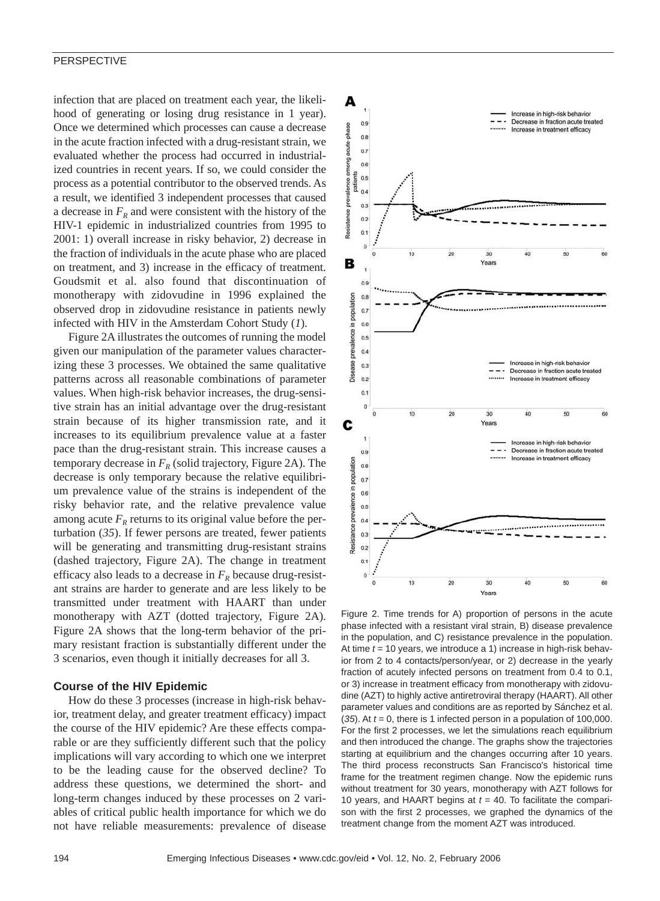## PERSPECTIVE

infection that are placed on treatment each year, the likelihood of generating or losing drug resistance in 1 year). Once we determined which processes can cause a decrease in the acute fraction infected with a drug-resistant strain, we evaluated whether the process had occurred in industrialized countries in recent years. If so, we could consider the process as a potential contributor to the observed trends. As a result, we identified 3 independent processes that caused a decrease in  $F_R$  and were consistent with the history of the HIV-1 epidemic in industrialized countries from 1995 to 2001: 1) overall increase in risky behavior, 2) decrease in the fraction of individuals in the acute phase who are placed on treatment, and 3) increase in the efficacy of treatment. Goudsmit et al. also found that discontinuation of monotherapy with zidovudine in 1996 explained the observed drop in zidovudine resistance in patients newly infected with HIV in the Amsterdam Cohort Study (*1*).

Figure 2A illustrates the outcomes of running the model given our manipulation of the parameter values characterizing these 3 processes. We obtained the same qualitative patterns across all reasonable combinations of parameter values. When high-risk behavior increases, the drug-sensitive strain has an initial advantage over the drug-resistant strain because of its higher transmission rate, and it increases to its equilibrium prevalence value at a faster pace than the drug-resistant strain. This increase causes a temporary decrease in  $F_R$  (solid trajectory, Figure 2A). The decrease is only temporary because the relative equilibrium prevalence value of the strains is independent of the risky behavior rate, and the relative prevalence value among acute  $F_R$  returns to its original value before the perturbation (*35*). If fewer persons are treated, fewer patients will be generating and transmitting drug-resistant strains (dashed trajectory, Figure 2A). The change in treatment efficacy also leads to a decrease in  $F_R$  because drug-resistant strains are harder to generate and are less likely to be transmitted under treatment with HAART than under monotherapy with AZT (dotted trajectory, Figure 2A). Figure 2A shows that the long-term behavior of the primary resistant fraction is substantially different under the 3 scenarios, even though it initially decreases for all 3.

### **Course of the HIV Epidemic**

How do these 3 processes (increase in high-risk behavior, treatment delay, and greater treatment efficacy) impact the course of the HIV epidemic? Are these effects comparable or are they sufficiently different such that the policy implications will vary according to which one we interpret to be the leading cause for the observed decline? To address these questions, we determined the short- and long-term changes induced by these processes on 2 variables of critical public health importance for which we do not have reliable measurements: prevalence of disease



Figure 2. Time trends for A) proportion of persons in the acute phase infected with a resistant viral strain, B) disease prevalence in the population, and C) resistance prevalence in the population. At time *t* = 10 years, we introduce a 1) increase in high-risk behavior from 2 to 4 contacts/person/year, or 2) decrease in the yearly fraction of acutely infected persons on treatment from 0.4 to 0.1, or 3) increase in treatment efficacy from monotherapy with zidovudine (AZT) to highly active antiretroviral therapy (HAART). All other parameter values and conditions are as reported by Sánchez et al. (*35*). At *t* = 0, there is 1 infected person in a population of 100,000. For the first 2 processes, we let the simulations reach equilibrium and then introduced the change. The graphs show the trajectories starting at equilibrium and the changes occurring after 10 years. The third process reconstructs San Francisco's historical time frame for the treatment regimen change. Now the epidemic runs without treatment for 30 years, monotherapy with AZT follows for 10 years, and HAART begins at *t* = 40. To facilitate the comparison with the first 2 processes, we graphed the dynamics of the treatment change from the moment AZT was introduced.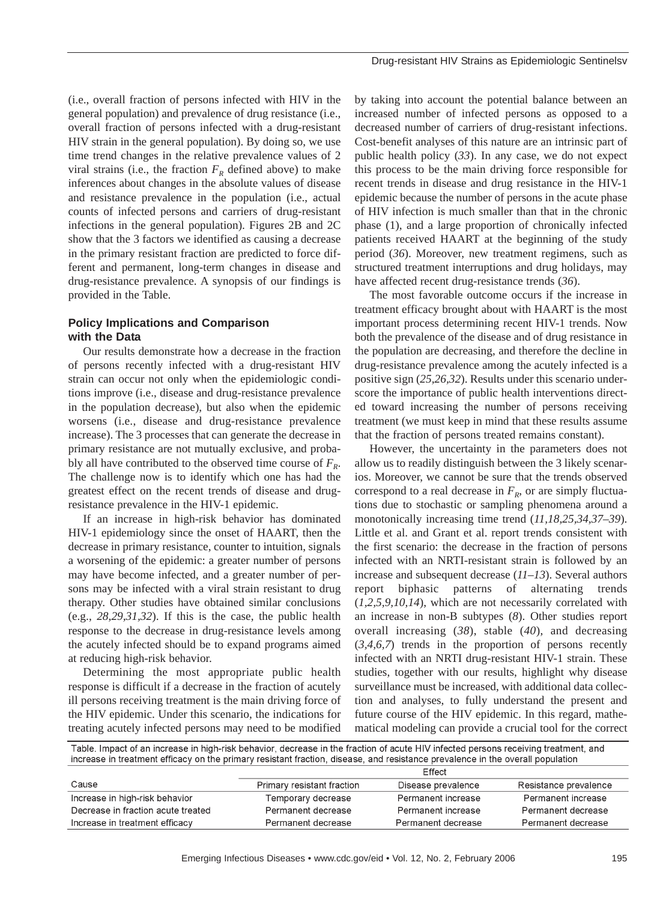(i.e., overall fraction of persons infected with HIV in the general population) and prevalence of drug resistance (i.e., overall fraction of persons infected with a drug-resistant HIV strain in the general population). By doing so, we use time trend changes in the relative prevalence values of 2 viral strains (i.e., the fraction  $F_R$  defined above) to make inferences about changes in the absolute values of disease and resistance prevalence in the population (i.e., actual counts of infected persons and carriers of drug-resistant infections in the general population). Figures 2B and 2C show that the 3 factors we identified as causing a decrease in the primary resistant fraction are predicted to force different and permanent, long-term changes in disease and drug-resistance prevalence. A synopsis of our findings is provided in the Table.

## **Policy Implications and Comparison with the Data**

Our results demonstrate how a decrease in the fraction of persons recently infected with a drug-resistant HIV strain can occur not only when the epidemiologic conditions improve (i.e., disease and drug-resistance prevalence in the population decrease), but also when the epidemic worsens (i.e., disease and drug-resistance prevalence increase). The 3 processes that can generate the decrease in primary resistance are not mutually exclusive, and probably all have contributed to the observed time course of  $F_R$ . The challenge now is to identify which one has had the greatest effect on the recent trends of disease and drugresistance prevalence in the HIV-1 epidemic.

If an increase in high-risk behavior has dominated HIV-1 epidemiology since the onset of HAART, then the decrease in primary resistance, counter to intuition, signals a worsening of the epidemic: a greater number of persons may have become infected, and a greater number of persons may be infected with a viral strain resistant to drug therapy. Other studies have obtained similar conclusions (e.g., *28,29,31,32*). If this is the case, the public health response to the decrease in drug-resistance levels among the acutely infected should be to expand programs aimed at reducing high-risk behavior.

Determining the most appropriate public health response is difficult if a decrease in the fraction of acutely ill persons receiving treatment is the main driving force of the HIV epidemic. Under this scenario, the indications for treating acutely infected persons may need to be modified

by taking into account the potential balance between an increased number of infected persons as opposed to a decreased number of carriers of drug-resistant infections. Cost-benefit analyses of this nature are an intrinsic part of public health policy (*33*). In any case, we do not expect this process to be the main driving force responsible for recent trends in disease and drug resistance in the HIV-1 epidemic because the number of persons in the acute phase of HIV infection is much smaller than that in the chronic phase (1), and a large proportion of chronically infected patients received HAART at the beginning of the study period (*36*). Moreover, new treatment regimens, such as structured treatment interruptions and drug holidays, may have affected recent drug-resistance trends (*36*).

The most favorable outcome occurs if the increase in treatment efficacy brought about with HAART is the most important process determining recent HIV-1 trends. Now both the prevalence of the disease and of drug resistance in the population are decreasing, and therefore the decline in drug-resistance prevalence among the acutely infected is a positive sign (*25,26,32*). Results under this scenario underscore the importance of public health interventions directed toward increasing the number of persons receiving treatment (we must keep in mind that these results assume that the fraction of persons treated remains constant).

However, the uncertainty in the parameters does not allow us to readily distinguish between the 3 likely scenarios. Moreover, we cannot be sure that the trends observed correspond to a real decrease in  $F_R$ , or are simply fluctuations due to stochastic or sampling phenomena around a monotonically increasing time trend (*11,18,25,34,37–39*). Little et al. and Grant et al. report trends consistent with the first scenario: the decrease in the fraction of persons infected with an NRTI-resistant strain is followed by an increase and subsequent decrease (*11–13*). Several authors report biphasic patterns of alternating trends (*1,2,5,9,10,14*), which are not necessarily correlated with an increase in non-B subtypes (*8*). Other studies report overall increasing (*38*), stable (*40*), and decreasing (*3,4,6,7*) trends in the proportion of persons recently infected with an NRTI drug-resistant HIV-1 strain. These studies, together with our results, highlight why disease surveillance must be increased, with additional data collection and analyses, to fully understand the present and future course of the HIV epidemic. In this regard, mathematical modeling can provide a crucial tool for the correct

| Table. Impact of an increase in high-risk behavior, decrease in the fraction of acute HIV infected persons receiving treatment, and<br>increase in treatment efficacy on the primary resistant fraction, disease, and resistance prevalence in the overall population |                            |                    |                       |  |
|-----------------------------------------------------------------------------------------------------------------------------------------------------------------------------------------------------------------------------------------------------------------------|----------------------------|--------------------|-----------------------|--|
|                                                                                                                                                                                                                                                                       |                            | Effect             |                       |  |
| Cause                                                                                                                                                                                                                                                                 | Primary resistant fraction | Disease prevalence | Resistance prevalence |  |
| Increase in high-risk behavior                                                                                                                                                                                                                                        | Temporary decrease         | Permanent increase | Permanent increase    |  |
| Decrease in fraction acute treated                                                                                                                                                                                                                                    | Permanent decrease         | Permanent increase | Permanent decrease    |  |
| Increase in treatment efficacy                                                                                                                                                                                                                                        | Permanent decrease         | Permanent decrease | Permanent decrease    |  |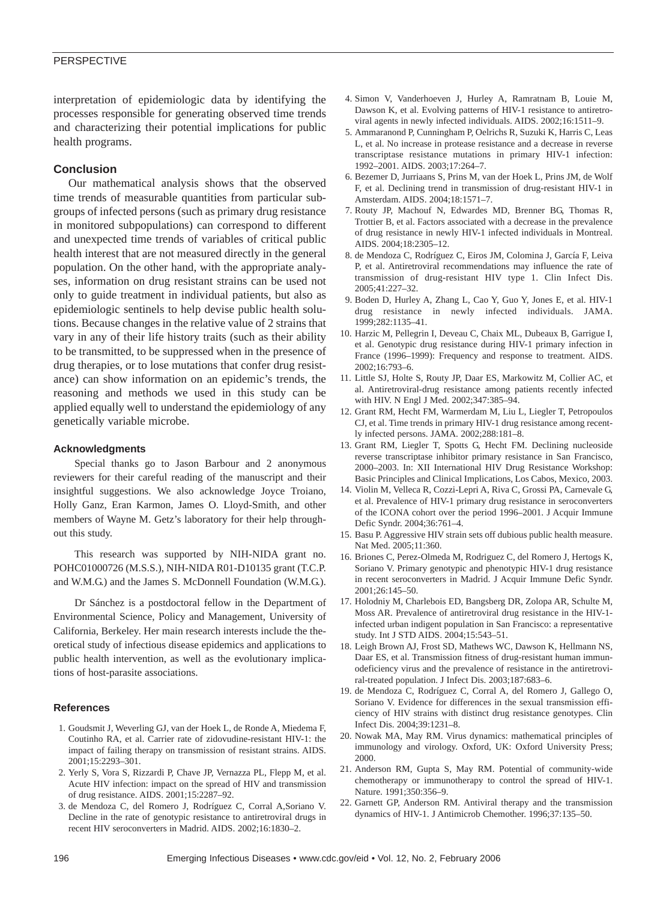## PERSPECTIVE

interpretation of epidemiologic data by identifying the processes responsible for generating observed time trends and characterizing their potential implications for public health programs.

#### **Conclusion**

Our mathematical analysis shows that the observed time trends of measurable quantities from particular subgroups of infected persons (such as primary drug resistance in monitored subpopulations) can correspond to different and unexpected time trends of variables of critical public health interest that are not measured directly in the general population. On the other hand, with the appropriate analyses, information on drug resistant strains can be used not only to guide treatment in individual patients, but also as epidemiologic sentinels to help devise public health solutions. Because changes in the relative value of 2 strains that vary in any of their life history traits (such as their ability to be transmitted, to be suppressed when in the presence of drug therapies, or to lose mutations that confer drug resistance) can show information on an epidemic's trends, the reasoning and methods we used in this study can be applied equally well to understand the epidemiology of any genetically variable microbe.

#### **Acknowledgments**

Special thanks go to Jason Barbour and 2 anonymous reviewers for their careful reading of the manuscript and their insightful suggestions. We also acknowledge Joyce Troiano, Holly Ganz, Eran Karmon, James O. Lloyd-Smith, and other members of Wayne M. Getz's laboratory for their help throughout this study.

This research was supported by NIH-NIDA grant no. POHC01000726 (M.S.S.), NIH-NIDA R01-D10135 grant (T.C.P. and W.M.G.) and the James S. McDonnell Foundation (W.M.G.).

Dr Sánchez is a postdoctoral fellow in the Department of Environmental Science, Policy and Management, University of California, Berkeley. Her main research interests include the theoretical study of infectious disease epidemics and applications to public health intervention, as well as the evolutionary implications of host-parasite associations.

#### **References**

- 1. Goudsmit J, Weverling GJ, van der Hoek L, de Ronde A, Miedema F, Coutinho RA, et al. Carrier rate of zidovudine-resistant HIV-1: the impact of failing therapy on transmission of resistant strains. AIDS. 2001;15:2293–301.
- 2. Yerly S, Vora S, Rizzardi P, Chave JP, Vernazza PL, Flepp M, et al. Acute HIV infection: impact on the spread of HIV and transmission of drug resistance. AIDS. 2001;15:2287–92.
- 3. de Mendoza C, del Romero J, Rodríguez C, Corral A,Soriano V. Decline in the rate of genotypic resistance to antiretroviral drugs in recent HIV seroconverters in Madrid. AIDS. 2002;16:1830–2.
- 4. Simon V, Vanderhoeven J, Hurley A, Ramratnam B, Louie M, Dawson K, et al. Evolving patterns of HIV-1 resistance to antiretroviral agents in newly infected individuals. AIDS. 2002;16:1511–9.
- 5. Ammaranond P, Cunningham P, Oelrichs R, Suzuki K, Harris C, Leas L, et al. No increase in protease resistance and a decrease in reverse transcriptase resistance mutations in primary HIV-1 infection: 1992–2001. AIDS. 2003;17:264–7.
- 6. Bezemer D, Jurriaans S, Prins M, van der Hoek L, Prins JM, de Wolf F, et al. Declining trend in transmission of drug-resistant HIV-1 in Amsterdam. AIDS. 2004;18:1571–7.
- 7. Routy JP, Machouf N, Edwardes MD, Brenner BG, Thomas R, Trottier B, et al. Factors associated with a decrease in the prevalence of drug resistance in newly HIV-1 infected individuals in Montreal. AIDS. 2004;18:2305–12.
- 8. de Mendoza C, Rodríguez C, Eiros JM, Colomina J, García F, Leiva P, et al. Antiretroviral recommendations may influence the rate of transmission of drug-resistant HIV type 1. Clin Infect Dis. 2005;41:227–32.
- 9. Boden D, Hurley A, Zhang L, Cao Y, Guo Y, Jones E, et al. HIV-1 drug resistance in newly infected individuals. JAMA. 1999;282:1135–41.
- 10. Harzic M, Pellegrin I, Deveau C, Chaix ML, Dubeaux B, Garrigue I, et al. Genotypic drug resistance during HIV-1 primary infection in France (1996–1999): Frequency and response to treatment. AIDS. 2002;16:793–6.
- 11. Little SJ, Holte S, Routy JP, Daar ES, Markowitz M, Collier AC, et al. Antiretroviral-drug resistance among patients recently infected with HIV. N Engl J Med. 2002;347:385–94.
- 12. Grant RM, Hecht FM, Warmerdam M, Liu L, Liegler T, Petropoulos CJ, et al. Time trends in primary HIV-1 drug resistance among recently infected persons. JAMA. 2002;288:181–8.
- 13. Grant RM, Liegler T, Spotts G, Hecht FM. Declining nucleoside reverse transcriptase inhibitor primary resistance in San Francisco, 2000–2003. In: XII International HIV Drug Resistance Workshop: Basic Principles and Clinical Implications, Los Cabos, Mexico, 2003.
- 14. Violin M, Velleca R, Cozzi-Lepri A, Riva C, Grossi PA, Carnevale G, et al. Prevalence of HIV-1 primary drug resistance in seroconverters of the ICONA cohort over the period 1996–2001. J Acquir Immune Defic Syndr. 2004;36:761–4.
- 15. Basu P. Aggressive HIV strain sets off dubious public health measure. Nat Med. 2005;11:360.
- 16. Briones C, Perez-Olmeda M, Rodriguez C, del Romero J, Hertogs K, Soriano V. Primary genotypic and phenotypic HIV-1 drug resistance in recent seroconverters in Madrid. J Acquir Immune Defic Syndr. 2001;26:145–50.
- 17. Holodniy M, Charlebois ED, Bangsberg DR, Zolopa AR, Schulte M, Moss AR. Prevalence of antiretroviral drug resistance in the HIV-1 infected urban indigent population in San Francisco: a representative study. Int J STD AIDS. 2004;15:543–51.
- 18. Leigh Brown AJ, Frost SD, Mathews WC, Dawson K, Hellmann NS, Daar ES, et al. Transmission fitness of drug-resistant human immunodeficiency virus and the prevalence of resistance in the antiretroviral-treated population. J Infect Dis. 2003;187:683–6.
- 19. de Mendoza C, Rodríguez C, Corral A, del Romero J, Gallego O, Soriano V. Evidence for differences in the sexual transmission efficiency of HIV strains with distinct drug resistance genotypes. Clin Infect Dis. 2004;39:1231–8.
- 20. Nowak MA, May RM. Virus dynamics: mathematical principles of immunology and virology. Oxford, UK: Oxford University Press; 2000.
- 21. Anderson RM, Gupta S, May RM. Potential of community-wide chemotherapy or immunotherapy to control the spread of HIV-1. Nature. 1991;350:356–9.
- 22. Garnett GP, Anderson RM. Antiviral therapy and the transmission dynamics of HIV-1. J Antimicrob Chemother. 1996;37:135–50.